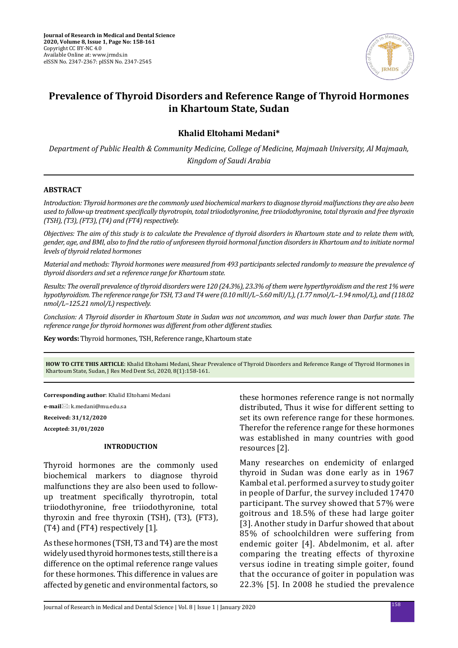

# **Prevalence of Thyroid Disorders and Reference Range of Thyroid Hormones in Khartoum State, Sudan**

# **Khalid Eltohami Medani\***

*Department of Public Health & Community Medicine, College of Medicine, Majmaah University, Al Majmaah, Kingdom of Saudi Arabia*

## **ABSTRACT**

*Introduction: Thyroid hormones are the commonly used biochemical markers to diagnose thyroid malfunctions they are also been used to follow-up treatment specifically thyrotropin, total triiodothyronine, free triiodothyronine, total thyroxin and free thyroxin (TSH), (T3), (FT3), (T4) and (FT4) respectively.*

*Objectives: The aim of this study is to calculate the Prevalence of thyroid disorders in Khartoum state and to relate them with, gender, age, and BMI, also to find the ratio of unforeseen thyroid hormonal function disorders in Khartoum and to initiate normal levels of thyroid related hormones* 

*Material and methods: Thyroid hormones were measured from 493 participants selected randomly to measure the prevalence of thyroid disorders and set a reference range for Khartoum state.* 

*Results: The overall prevalence of thyroid disorders were 120 (24.3%), 23.3% of them were hyperthyroidism and the rest 1% were hypothyroidism. The reference range for TSH, T3 and T4 were (0.10 mlU/L–5.60 mlU/L), (1.77 nmol/L–1.94 nmol/L), and (118.02 nmol/L–125.21 nmol/L) respectively.*

*Conclusion: A Thyroid disorder in Khartoum State in Sudan was not uncommon, and was much lower than Darfur state. The reference range for thyroid hormones was different from other different studies.*

**Key words:** Thyroid hormones, TSH, Reference range, Khartoum state

**HOW TO CITE THIS ARTICLE**: Khalid Eltohami Medani, Shear Prevalence of Thyroid Disorders and Reference Range of Thyroid Hormones in Khartoum State, Sudan, J Res Med Dent Sci, 2020, 8(1):158-161.

**Corresponding author**: Khalid Eltohami Medani

**e-mail**: k.medani@mu.edu.sa

**Received: 31/12/2020 Accepted: 31/01/2020**

### **INTRODUCTION**

Thyroid hormones are the commonly used biochemical markers to diagnose thyroid malfunctions they are also been used to followup treatment specifically thyrotropin, total triiodothyronine, free triiodothyronine, total thyroxin and free thyroxin (TSH), (T3), (FT3), (T4) and (FT4) respectively [1].

As these hormones (TSH, T3 and T4) are the most widely used thyroid hormones tests, still there is a difference on the optimal reference range values for these hormones. This difference in values are affected by genetic and environmental factors, so

these hormones reference range is not normally distributed, Thus it wise for different setting to set its own reference range for these hormones. Therefor the reference range for these hormones was established in many countries with good resources [2].

Many researches on endemicity of enlarged thyroid in Sudan was done early as in 1967 Kambal et al. performed a survey to study goiter in people of Darfur, the survey included 17470 participant. The survey showed that 57% were goitrous and 18.5% of these had large goiter [3]. Another study in Darfur showed that about 85% of schoolchildren were suffering from endemic goiter [4]. Abdelmonim, et al. after comparing the treating effects of thyroxine versus iodine in treating simple goiter, found that the occurance of goiter in population was 22.3% [5]. In 2008 he studied the prevalence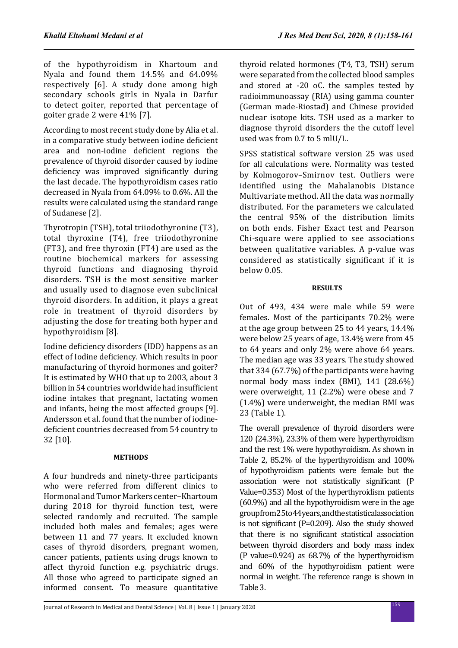of the hypothyroidism in Khartoum and Nyala and found them 14.5% and 64.09% respectively [6]. A study done among high secondary schools girls in Nyala in Darfur to detect goiter, reported that percentage of goiter grade 2 were 41% [7].

According to most recent study done by Alia et al. in a comparative study between iodine deficient area and non-iodine deficient regions the prevalence of thyroid disorder caused by iodine deficiency was improved significantly during the last decade. The hypothyroidism cases ratio decreased in Nyala from 64.09% to 0.6%. All the results were calculated using the standard range of Sudanese [2].

Thyrotropin (TSH), total triiodothyronine (T3), total thyroxine (T4), free triiodothyronine (FT3), and free thyroxin (FT4) are used as the routine biochemical markers for assessing thyroid functions and diagnosing thyroid disorders. TSH is the most sensitive marker and usually used to diagnose even subclinical thyroid disorders. In addition, it plays a great role in treatment of thyroid disorders by adjusting the dose for treating both hyper and hypothyroidism [8].

Iodine deficiency disorders (IDD) happens as an effect of Iodine deficiency. Which results in poor manufacturing of thyroid hormones and goiter? It is estimated by WHO that up to 2003, about 3 billion in 54 countries worldwide had insufficient iodine intakes that pregnant, lactating women and infants, being the most affected groups [9]. Andersson et al. found that the number of iodinedeficient countries decreased from 54 country to 32 [10].

# **METHODS**

A four hundreds and ninety-three participants who were referred from different clinics to Hormonal and Tumor Markers center–Khartoum during 2018 for thyroid function test, were selected randomly and recruited. The sample included both males and females; ages were between 11 and 77 years. It excluded known cases of thyroid disorders, pregnant women, cancer patients, patients using drugs known to affect thyroid function e.g. psychiatric drugs. All those who agreed to participate signed an informed consent. To measure quantitative thyroid related hormones (T4, T3, TSH) serum were separated from the collected blood samples and stored at -20 oC. the samples tested by radioimmunoassay (RIA) using gamma counter (German made-Riostad) and Chinese provided nuclear isotope kits. TSH used as a marker to diagnose thyroid disorders the the cutoff level used was from 0.7 to 5 mlU/L.

SPSS statistical software version 25 was used for all calculations were. Normality was tested by Kolmogorov–Smirnov test. Outliers were identified using the Mahalanobis Distance Multivariate method. All the data was normally distributed. For the parameters we calculated the central 95% of the distribution limits on both ends. Fisher Exact test and Pearson Chi-square were applied to see associations between qualitative variables. A p-value was considered as statistically significant if it is below 0.05.

# **RESULTS**

Out of 493, 434 were male while 59 were females. Most of the participants 70.2% were at the age group between 25 to 44 years, 14.4% were below 25 years of age, 13.4% were from 45 to 64 years and only 2% were above 64 years. The median age was 33 years. The study showed that 334 (67.7%) of the participants were having normal body mass index (BMI), 141 (28.6%) were overweight, 11 (2.2%) were obese and 7 (1.4%) were underweight, the median BMI was 23 (Table 1).

The overall prevalence of thyroid disorders were 120 (24.3%), 23.3% of them were hyperthyroidism and the rest 1% were hypothyroidism. As shown in Table 2, 85.2% of the hyperthyroidism and 100% of hypothyroidism patients were female but the association were not statistically significant (P Value=0.353) Most of the hyperthyroidism patients (60.9%) and all the hypothyroidism were in the age group from 25 to 44 years, and the statistical association is not significant (P=0.209). Also the study showed that there is no significant statistical association between thyroid disorders and body mass index (P value=0.924) as 68.7% of the hyperthyroidism and 60% of the hypothyroidism patient were normal in weight. The reference range is shown in Table 3.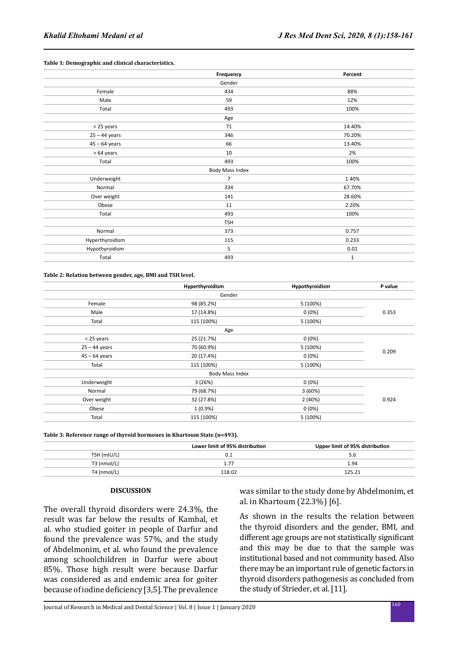#### **Table 1: Demographic and clinical characteristics.**

|                 | Frequency       | Percent     |
|-----------------|-----------------|-------------|
|                 | Gender          |             |
| Female          | 434             | 88%         |
| Male            | 59              | 12%         |
| Total           | 493             | 100%        |
|                 | Age             |             |
| < 25 years      | 71              | 14.40%      |
| $25 - 44$ years | 346             | 70.20%      |
| $45 - 64$ years | 66              | 13.40%      |
| > 64 years      | 10              | 2%          |
| Total           | 493             | 100%        |
|                 | Body Mass Index |             |
| Underweight     | $\overline{7}$  | 1.40%       |
| Normal          | 334             | 67.70%      |
| Over weight     | 141             | 28.60%      |
| Obese           | 11              | 2.20%       |
| Total           | 493             | 100%        |
|                 | <b>TSH</b>      |             |
| Normal          | 373             | 0.757       |
| Hyperthyroidism | 115             | 0.233       |
| Hypothyroidism  | 5               | 0.01        |
| Total           | 493             | $\mathbf 1$ |

**Table 2: Relation between gender, age, BMI and TSH level.**

|                 | Hyperthyroidism        | Hypothyroidism | P value |
|-----------------|------------------------|----------------|---------|
|                 | Gender                 |                |         |
| Female          | 98 (85.2%)             | 5 (100%)       |         |
| Male            | 17 (14.8%)             | $0(0\%)$       | 0.353   |
| Total           | 115 (100%)             | 5 (100%)       |         |
|                 | Age                    |                |         |
| < 25 years      | 25 (21.7%)             | $0(0\%)$       |         |
| $25 - 44$ years | 70 (60.9%)             | 5 (100%)       |         |
| $45 - 64$ years | 20 (17.4%)             | $0(0\%)$       | 0.209   |
| Total           | 115 (100%)             | 5 (100%)       |         |
|                 | <b>Body Mass Index</b> |                |         |
| Underweight     | 3(26%)                 | $0(0\%)$       |         |
| Normal          | 79 (68.7%)             | 3(60%)         |         |
| Over weight     | 32 (27.8%)             | 2(40%)         | 0.924   |
| Obese           | $1(0.9\%)$             | $0(0\%)$       |         |
| Total           | 115 (100%)             | 5 (100%)       |         |

**Table 3: Reference range of thyroid hormones in Khartoum State (n=493).**

|               | Lower limit of 95% distribution | Upper limit of 95% distribution |  |
|---------------|---------------------------------|---------------------------------|--|
| TSH (mIU/L)   | 0.1                             | 5.6                             |  |
| $T3$ (nmol/L) |                                 | 1.94                            |  |
| $T4$ (nmol/L) | 118.02                          | 125.21                          |  |

#### **DISCUSSION**

The overall thyroid disorders were 24.3%, the result was far below the results of Kambal, et al. who studied goiter in people of Darfur and found the prevalence was 57%, and the study of Abdelmonim, et al. who found the prevalence among schoolchildren in Darfur were about 85%. Those high result were because Darfur was considered as and endemic area for goiter because of iodine deficiency [3,5]. The prevalence

was similar to the study done by Abdelmonim, et al. in Khartoum (22.3%) [6].

As shown in the results the relation between the thyroid disorders and the gender, BMI, and different age groups are not statistically significant and this may be due to that the sample was institutional based and not community based. Also there may be an important rule of genetic factors in thyroid disorders pathogenesis as concluded from the study of Strieder, et al. [11].